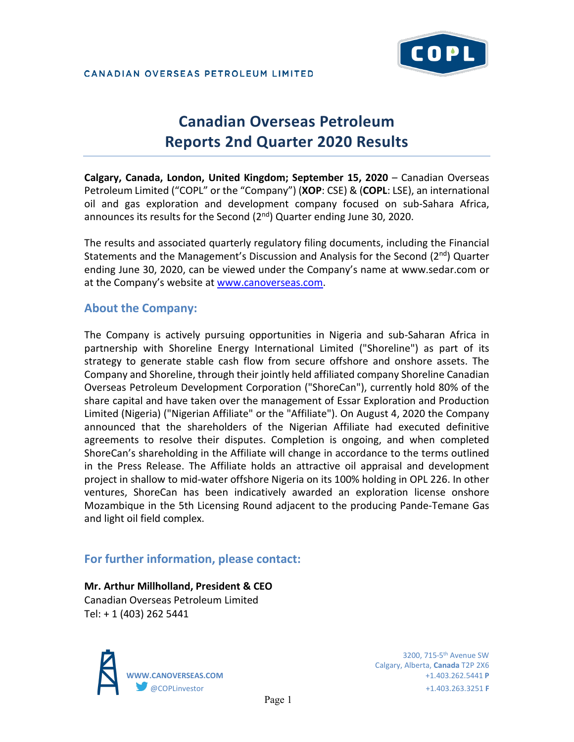# **Canadian Overseas Petroleum Reports 2nd Quarter 2020 Results**

**Calgary, Canada, London, United Kingdom; September 15, 2020** – Canadian Overseas Petroleum Limited ("COPL" or the "Company") (**XOP**: CSE) & (**COPL**: LSE), an international oil and gas exploration and development company focused on sub-Sahara Africa, announces its results for the Second  $(2^{nd})$  Quarter ending June 30, 2020.

The results and associated quarterly regulatory filing documents, including the Financial Statements and the Management's Discussion and Analysis for the Second  $(2^{nd})$  Quarter ending June 30, 2020, can be viewed under the Company's name at www.sedar.com or at the Company's website at [www.canoverseas.com.](http://www.canoverseas.com/)

# **About the Company:**

The Company is actively pursuing opportunities in Nigeria and sub-Saharan Africa in partnership with Shoreline Energy International Limited ("Shoreline") as part of its strategy to generate stable cash flow from secure offshore and onshore assets. The Company and Shoreline, through their jointly held affiliated company Shoreline Canadian Overseas Petroleum Development Corporation ("ShoreCan"), currently hold 80% of the share capital and have taken over the management of Essar Exploration and Production Limited (Nigeria) ("Nigerian Affiliate" or the "Affiliate"). On August 4, 2020 the Company announced that the shareholders of the Nigerian Affiliate had executed definitive agreements to resolve their disputes. Completion is ongoing, and when completed ShoreCan's shareholding in the Affiliate will change in accordance to the terms outlined in the Press Release. The Affiliate holds an attractive oil appraisal and development project in shallow to mid-water offshore Nigeria on its 100% holding in OPL 226. In other ventures, ShoreCan has been indicatively awarded an exploration license onshore Mozambique in the 5th Licensing Round adjacent to the producing Pande-Temane Gas and light oil field complex.

# **For further information, please contact:**

#### **Mr. Arthur Millholland, President & CEO** Canadian Overseas Petroleum Limited Tel: + 1 (403) 262 5441



 3200, 715-5th Avenue SW Calgary, Alberta, **Canada** T2P 2X6 **WWW.CANOVERSEAS.COM** +1.403.262.5441 **P** @COPLinvestor +1.403.263.3251 **F**